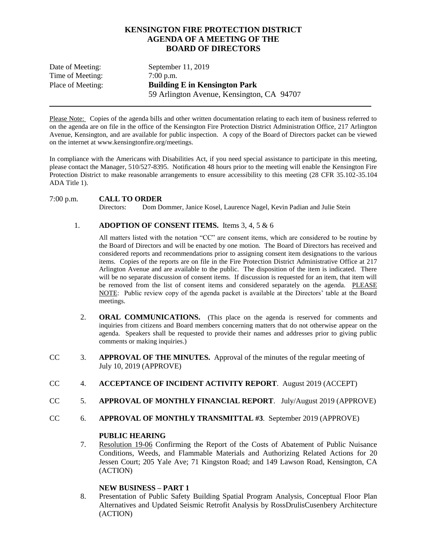# **KENSINGTON FIRE PROTECTION DISTRICT AGENDA OF A MEETING OF THE BOARD OF DIRECTORS**

| Date of Meeting:  | September $11, 2019$                      |
|-------------------|-------------------------------------------|
| Time of Meeting:  | $7:00$ p.m.                               |
| Place of Meeting: | <b>Building E in Kensington Park</b>      |
|                   | 59 Arlington Avenue, Kensington, CA 94707 |

Please Note: Copies of the agenda bills and other written documentation relating to each item of business referred to on the agenda are on file in the office of the Kensington Fire Protection District Administration Office, 217 Arlington Avenue, Kensington, and are available for public inspection. A copy of the Board of Directors packet can be viewed on the internet at www.kensingtonfire.org/meetings.

In compliance with the Americans with Disabilities Act, if you need special assistance to participate in this meeting, please contact the Manager, 510/527-8395. Notification 48 hours prior to the meeting will enable the Kensington Fire Protection District to make reasonable arrangements to ensure accessibility to this meeting (28 CFR 35.102-35.104 ADA Title 1).

## 7:00 p.m. **CALL TO ORDER**

Directors: Dom Dommer, Janice Kosel, Laurence Nagel, Kevin Padian and Julie Stein

## 1. **ADOPTION OF CONSENT ITEMS.** Items 3, 4, 5 & 6

All matters listed with the notation "CC" are consent items, which are considered to be routine by the Board of Directors and will be enacted by one motion. The Board of Directors has received and considered reports and recommendations prior to assigning consent item designations to the various items. Copies of the reports are on file in the Fire Protection District Administrative Office at 217 Arlington Avenue and are available to the public. The disposition of the item is indicated. There will be no separate discussion of consent items. If discussion is requested for an item, that item will be removed from the list of consent items and considered separately on the agenda. PLEASE NOTE: Public review copy of the agenda packet is available at the Directors' table at the Board meetings.

- 2. **ORAL COMMUNICATIONS.** (This place on the agenda is reserved for comments and inquiries from citizens and Board members concerning matters that do not otherwise appear on the agenda. Speakers shall be requested to provide their names and addresses prior to giving public comments or making inquiries.)
- CC 3. **APPROVAL OF THE MINUTES.** Approval of the minutes of the regular meeting of July 10, 2019 (APPROVE)
- CC 4. **ACCEPTANCE OF INCIDENT ACTIVITY REPORT**. August 2019 (ACCEPT)
- CC 5. **APPROVAL OF MONTHLY FINANCIAL REPORT**. July/August 2019 (APPROVE)
- CC 6. **APPROVAL OF MONTHLY TRANSMITTAL #3**. September 2019 (APPROVE)

#### **PUBLIC HEARING**

7. Resolution 19-06 Confirming the Report of the Costs of Abatement of Public Nuisance Conditions, Weeds, and Flammable Materials and Authorizing Related Actions for 20 Jessen Court; 205 Yale Ave; 71 Kingston Road; and 149 Lawson Road, Kensington, CA (ACTION)

#### **NEW BUSINESS – PART 1**

8. Presentation of Public Safety Building Spatial Program Analysis, Conceptual Floor Plan Alternatives and Updated Seismic Retrofit Analysis by RossDrulisCusenbery Architecture (ACTION)